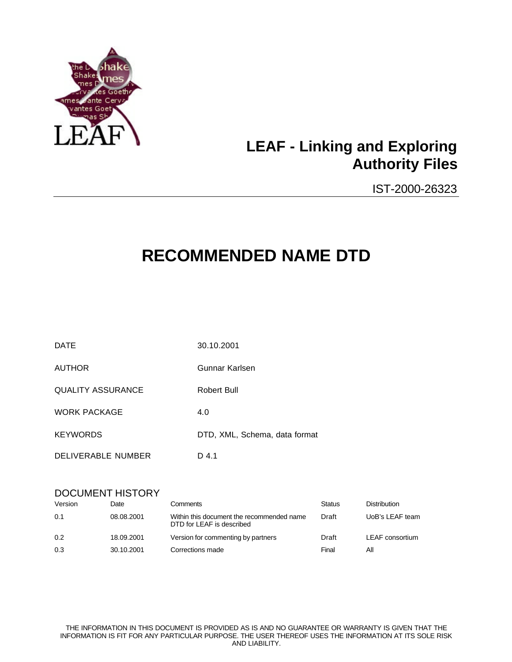

# **LEAF - Linking and Exploring Authority Files**

IST-2000-26323

# **RECOMMENDED NAME DTD**

| <b>DATE</b>              | 30.10.2001                    |
|--------------------------|-------------------------------|
| <b>AUTHOR</b>            | Gunnar Karlsen                |
| <b>QUALITY ASSURANCE</b> | Robert Bull                   |
| <b>WORK PACKAGE</b>      | 4.0                           |
| <b>KEYWORDS</b>          | DTD, XML, Schema, data format |
| DELIVERABLE NUMBER       | D 4.1                         |

### DOCUMENT HISTORY

| Version | Date       | Comments                                                               | <b>Status</b> | <b>Distribution</b> |
|---------|------------|------------------------------------------------------------------------|---------------|---------------------|
| 0.1     | 08.08.2001 | Within this document the recommended name<br>DTD for LEAF is described | Draft         | UoB's LEAF team     |
| 0.2     | 18.09.2001 | Version for commenting by partners                                     | Draft         | LEAF consortium     |
| 0.3     | 30.10.2001 | Corrections made                                                       | Final         | Αll                 |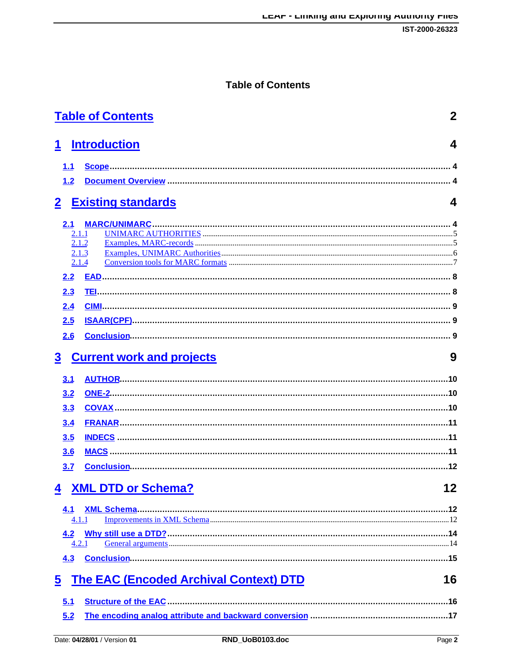## **Table of Contents**

| <b>Table of Contents</b>                                                 | 2  |
|--------------------------------------------------------------------------|----|
| <b>Introduction</b><br>1                                                 | 4  |
| 1.1                                                                      |    |
| 1.2                                                                      |    |
| $\overline{2}$<br><b>Existing standards</b>                              | 4  |
| <b>MARC/UNIMARC</b><br>2.1                                               |    |
| 2.1.1                                                                    |    |
| 2.1.2<br>2.1.3                                                           |    |
| 2.1.4                                                                    |    |
| 2.2                                                                      |    |
| 2.3                                                                      |    |
| 2.4                                                                      |    |
| 2.5                                                                      |    |
| 2.6                                                                      |    |
| $\overline{\mathbf{3}}$<br><b>Current work and projects</b>              | 9  |
| <u>3.1</u>                                                               |    |
| 3.2                                                                      |    |
| 3.3                                                                      |    |
| 3.4                                                                      |    |
| 3.5                                                                      |    |
| 3.6                                                                      |    |
| 3.7                                                                      |    |
| <b>XML DTD or Schema?</b><br>4                                           | 12 |
| 4.1                                                                      |    |
| 4.1.1                                                                    |    |
| 4.2                                                                      |    |
| 4.2.1                                                                    |    |
| 4.3                                                                      |    |
| <b>The EAC (Encoded Archival Context) DTD</b><br>$\overline{\mathbf{5}}$ | 16 |
| 5.1                                                                      |    |
| 5.2                                                                      |    |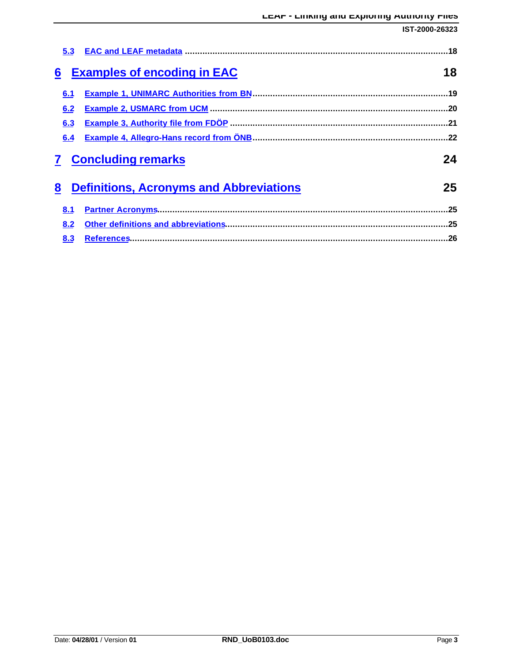|     |                                                | IST-2000-26323 |
|-----|------------------------------------------------|----------------|
| 5.3 |                                                |                |
| 6   | <b>Examples of encoding in EAC</b>             | 18             |
| 6.1 |                                                |                |
| 6.2 |                                                |                |
| 6.3 |                                                |                |
| 6.4 |                                                |                |
|     | <b>Concluding remarks</b>                      | 24             |
| 8   | <b>Definitions, Acronyms and Abbreviations</b> | 25             |
| 8.1 |                                                |                |
| 8.2 |                                                |                |
| 8.3 |                                                |                |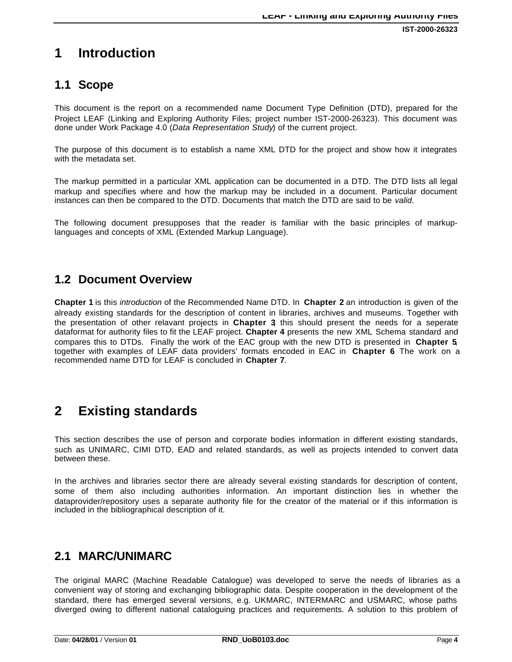**IST-2000-26323**

# **1 Introduction**

## **1.1 Scope**

This document is the report on a recommended name Document Type Definition (DTD), prepared for the Project LEAF (Linking and Exploring Authority Files; project number IST-2000-26323). This document was done under Work Package 4.0 (*Data Representation Study*) of the current project.

The purpose of this document is to establish a name XML DTD for the project and show how it integrates with the metadata set.

The markup permitted in a particular XML application can be documented in a DTD. The DTD lists all legal markup and specifies where and how the markup may be included in a document. Particular document instances can then be compared to the DTD. Documents that match the DTD are said to be *valid*.

The following document presupposes that the reader is familiar with the basic principles of markuplanguages and concepts of XML (Extended Markup Language).

### **1.2 Document Overview**

**Chapter 1** is this *introduction* of the Recommended Name DTD. In **Chapter 2** an introduction is given of the already existing standards for the description of content in libraries, archives and museums. Together with the presentation of other relavant projects in **Chapter 3**, this should present the needs for a seperate dataformat for authority files to fit the LEAF project. **Chapter 4** presents the new XML Schema standard and compares this to DTDs. Finally the work of the EAC group with the new DTD is presented in **Chapter 5**, together with examples of LEAF data providers' formats encoded in EAC in **Chapter 6**. The work on a recommended name DTD for LEAF is concluded in **Chapter 7**.

# **2 Existing standards**

This section describes the use of person and corporate bodies information in different existing standards, such as UNIMARC, CIMI DTD, EAD and related standards, as well as projects intended to convert data between these.

In the archives and libraries sector there are already several existing standards for description of content, some of them also including authorities information. An important distinction lies in whether the dataprovider/repository uses a separate authority file for the creator of the material or if this information is included in the bibliographical description of it.

### **2.1 MARC/UNIMARC**

The original MARC (Machine Readable Catalogue) was developed to serve the needs of libraries as a convenient way of storing and exchanging bibliographic data. Despite cooperation in the development of the standard, there has emerged several versions, e.g. UKMARC, INTERMARC and USMARC, whose paths diverged owing to different national cataloguing practices and requirements. A solution to this problem of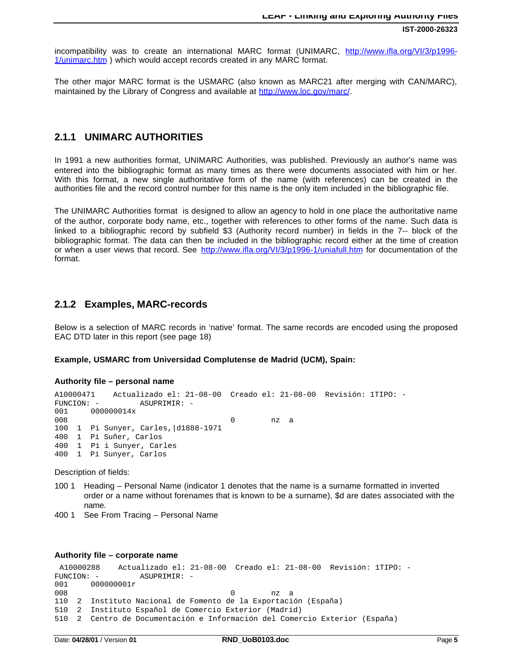incompatibility was to create an international MARC format (UNIMARC, http://www.ifla.org/VI/3/p1996- 1/unimarc.htm ) which would accept records created in any MARC format.

The other major MARC format is the USMARC (also known as MARC21 after merging with CAN/MARC), maintained by the Library of Congress and available at http://www.loc.gov/marc/.

### **2.1.1 UNIMARC AUTHORITIES**

In 1991 a new authorities format, UNIMARC Authorities, was published. Previously an author's name was entered into the bibliographic format as many times as there were documents associated with him or her. With this format, a new single authoritative form of the name (with references) can be created in the authorities file and the record control number for this name is the only item included in the bibliographic file.

The UNIMARC Authorities format is designed to allow an agency to hold in one place the authoritative name of the author, corporate body name, etc., together with references to other forms of the name. Such data is linked to a bibliographic record by subfield \$3 (Authority record number) in fields in the 7-- block of the bibliographic format. The data can then be included in the bibliographic record either at the time of creation or when a user views that record. See http://www.ifla.org/VI/3/p1996-1/uniafull.htm for documentation of the format.

### **2.1.2 Examples, MARC-records**

Below is a selection of MARC records in 'native' format. The same records are encoded using the proposed EAC DTD later in this report (see page 18)

#### **Example, USMARC from Universidad Complutense de Madrid (UCM), Spain:**

#### **Authority file – personal name**

```
A10000471 Actualizado el: 21-08-00 Creado el: 21-08-00 Revisión: 1TIPO: -
FUNCION: -<br>001 000000014x
001 000000014x<br>008
008 0 nz a
100 1 Pi Sunyer, Carles,|d1888-1971
400 1 Pi Suñer, Carlos
400 1 Pi i Sunyer, Carles
400 1 Pi Sunyer, Carlos
```
Description of fields:

- 100 1 Heading Personal Name (indicator 1 denotes that the name is a surname formatted in inverted order or a name without forenames that is known to be a surname), \$d are dates associated with the name.
- 400 1 See From Tracing Personal Name

#### **Authority file – corporate name**

```
A10000288 Actualizado el: 21-08-00 Creado el: 21-08-00 Revisión: 1TIPO: -
FUNCION: -<br>
001 000000001r
      000000001r
008 0 nz a
110 2 Instituto Nacional de Fomento de la Exportación (España)
510 2 Instituto Español de Comercio Exterior (Madrid)
510 2 Centro de Documentación e Información del Comercio Exterior (España)
```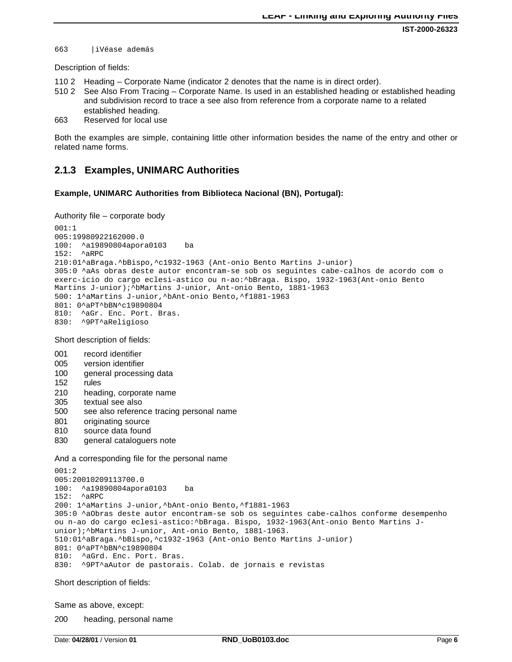**IST-2000-26323**

663 |iVéase además

Description of fields:

- 110 2 Heading Corporate Name (indicator 2 denotes that the name is in direct order).
- 510 2 See Also From Tracing Corporate Name. Is used in an established heading or established heading and subdivision record to trace a see also from reference from a corporate name to a related established heading.
- 663 Reserved for local use

Both the examples are simple, containing little other information besides the name of the entry and other or related name forms.

### **2.1.3 Examples, UNIMARC Authorities**

#### **Example, UNIMARC Authorities from Biblioteca Nacional (BN), Portugal):**

Authority file – corporate body

```
001:1
005:19980922162000.0
100: ^a19890804apora0103 ba
152: ^aRPC
210:01^aBraga.^bBispo,^c1932-1963 (Ant-onio Bento Martins J-unior)
305:0 ^aAs obras deste autor encontram-se sob os seguintes cabe-calhos de acordo com o
exerc-icio do cargo eclesi-astico ou n-ao:^bBraga. Bispo, 1932-1963(Ant-onio Bento
Martins J-unior); ^bMartins J-unior, Ant-onio Bento, 1881-1963
500: 1^aMartins J-unior,^bAnt-onio Bento,^f1881-1963
801: 0^aPT^bBN^c19890804<br>810: ^aGr. Enc. Port. B
     ^aGr. Enc. Port. Bras.
830: ^9PT^aReligioso
```
Short description of fields:

- 001 record identifier
- 005 version identifier
- 100 general processing data
- 152 rules
- 210 heading, corporate name
- 305 textual see also
- 500 see also reference tracing personal name
- 801 originating source
- 810 source data found
- 830 general cataloguers note

#### And a corresponding file for the personal name

```
001:2005:20010209113700.0
100: ^a19890804apora0103 ba
152: ^aRPC
200: 1^aMartins J-unior,^bAnt-onio Bento,^f1881-1963
305:0 ^aObras deste autor encontram-se sob os seguintes cabe-calhos conforme desempenho
ou n-ao do cargo eclesi-astico:^bBraga. Bispo, 1932-1963(Ant-onio Bento Martins J-
unior);^bMartins J-unior, Ant-onio Bento, 1881-1963.
510:01^aBraga.^bBispo,^c1932-1963 (Ant-onio Bento Martins J-unior)
801: 0^aPT^bBN^c19890804<br>810: ^aGrd. Enc. Port.
     ^aGrd. Enc. Port. Bras.
830: ^9PT^aAutor de pastorais. Colab. de jornais e revistas
```
Short description of fields:

Same as above, except:

200 heading, personal name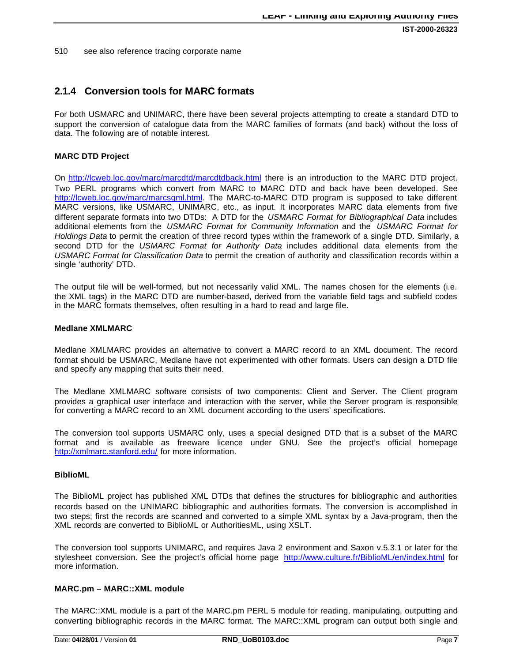**IST-2000-26323**

510 see also reference tracing corporate name

### **2.1.4 Conversion tools for MARC formats**

For both USMARC and UNIMARC, there have been several projects attempting to create a standard DTD to support the conversion of catalogue data from the MARC families of formats (and back) without the loss of data. The following are of notable interest.

#### **MARC DTD Project**

On http://lcweb.loc.gov/marc/marcdtd/marcdtdback.html there is an introduction to the MARC DTD project. Two PERL programs which convert from MARC to MARC DTD and back have been developed. See http://lcweb.loc.gov/marc/marcsgml.html. The MARC-to-MARC DTD program is supposed to take different MARC versions, like USMARC, UNIMARC, etc., as input. It incorporates MARC data elements from five different separate formats into two DTDs: A DTD for the *USMARC Format for Bibliographical Data* includes additional elements from the *USMARC Format for Community Information* and the *USMARC Format for Holdings Data* to permit the creation of three record types within the framework of a single DTD. Similarly, a second DTD for the *USMARC Format for Authority Data* includes additional data elements from the *USMARC Format for Classification Data* to permit the creation of authority and classification records within a single 'authority' DTD.

The output file will be well-formed, but not necessarily valid XML. The names chosen for the elements (i.e. the XML tags) in the MARC DTD are number-based, derived from the variable field tags and subfield codes in the MARC formats themselves, often resulting in a hard to read and large file.

#### **Medlane XMLMARC**

Medlane XMLMARC provides an alternative to convert a MARC record to an XML document. The record format should be USMARC, Medlane have not experimented with other formats. Users can design a DTD file and specify any mapping that suits their need.

The Medlane XMLMARC software consists of two components: Client and Server. The Client program provides a graphical user interface and interaction with the server, while the Server program is responsible for converting a MARC record to an XML document according to the users' specifications.

The conversion tool supports USMARC only, uses a special designed DTD that is a subset of the MARC format and is available as freeware licence under GNU. See the project's official homepage http://xmlmarc.stanford.edu/ for more information.

#### **BiblioML**

The BiblioML project has published XML DTDs that defines the structures for bibliographic and authorities records based on the UNIMARC bibliographic and authorities formats. The conversion is accomplished in two steps; first the records are scanned and converted to a simple XML syntax by a Java-program, then the XML records are converted to BiblioML or AuthoritiesML, using XSLT.

The conversion tool supports UNIMARC, and requires Java 2 environment and Saxon v.5.3.1 or later for the stylesheet conversion. See the project's official home page http://www.culture.fr/BiblioML/en/index.html for more information.

#### **MARC.pm – MARC::XML module**

The MARC::XML module is a part of the MARC.pm PERL 5 module for reading, manipulating, outputting and converting bibliographic records in the MARC format. The MARC::XML program can output both single and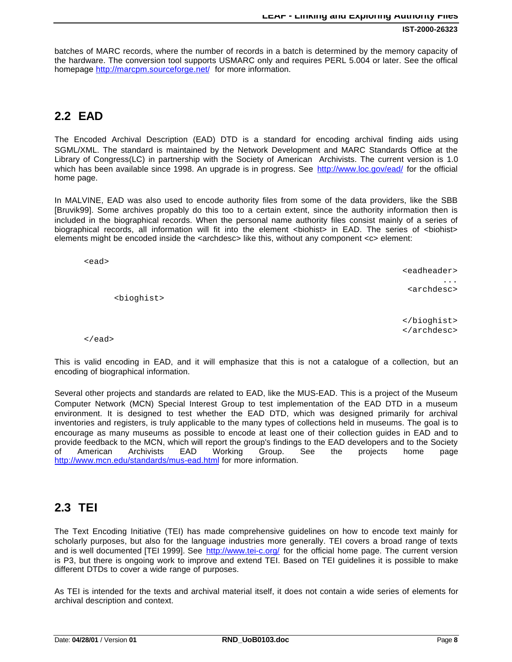batches of MARC records, where the number of records in a batch is determined by the memory capacity of the hardware. The conversion tool supports USMARC only and requires PERL 5.004 or later. See the offical homepage http://marcpm.sourceforge.net/ for more information.

## **2.2 EAD**

The Encoded Archival Description (EAD) DTD is a standard for encoding archival finding aids using SGML/XML. The standard is maintained by the Network Development and MARC Standards Office at the Library of Congress(LC) in partnership with the Society of American Archivists. The current version is 1.0 which has been available since 1998. An upgrade is in progress. See http://www.loc.gov/ead/ for the official home page.

In MALVINE, EAD was also used to encode authority files from some of the data providers, like the SBB [Bruvik99]. Some archives propably do this too to a certain extent, since the authority information then is included in the biographical records. When the personal name authority files consist mainly of a series of biographical records, all information will fit into the element <br/>biohist> in EAD. The series of <br/>biohist> elements might be encoded inside the <archdesc> like this, without any component <c> element:

<ead>

<bioghist>

 <eadheader> ... <archdesc>

> </bioghist> </archdesc>

</ead>

This is valid encoding in EAD, and it will emphasize that this is not a catalogue of a collection, but an encoding of biographical information.

Several other projects and standards are related to EAD, like the MUS-EAD. This is a project of the Museum Computer Network (MCN) Special Interest Group to test implementation of the EAD DTD in a museum environment. It is designed to test whether the EAD DTD, which was designed primarily for archival inventories and registers, is truly applicable to the many types of collections held in museums. The goal is to encourage as many museums as possible to encode at least one of their collection guides in EAD and to provide feedback to the MCN, which will report the group's findings to the EAD developers and to the Society of American Archivists EAD Working Group. See the projects home page http://www.mcn.edu/standards/mus-ead.html for more information.

## **2.3 TEI**

The Text Encoding Initiative (TEI) has made comprehensive guidelines on how to encode text mainly for scholarly purposes, but also for the language industries more generally. TEI covers a broad range of texts and is well documented [TEI 1999]. See http://www.tei-c.org/ for the official home page. The current version is P3, but there is ongoing work to improve and extend TEI. Based on TEI guidelines it is possible to make different DTDs to cover a wide range of purposes.

As TEI is intended for the texts and archival material itself, it does not contain a wide series of elements for archival description and context.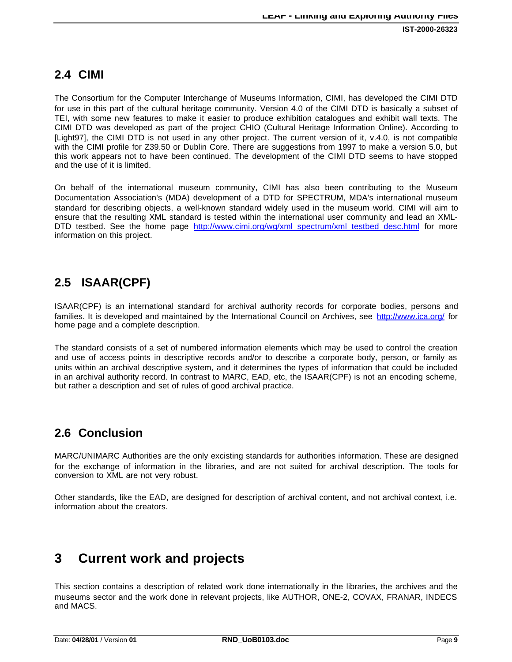## **2.4 CIMI**

The Consortium for the Computer Interchange of Museums Information, CIMI, has developed the CIMI DTD for use in this part of the cultural heritage community. Version 4.0 of the CIMI DTD is basically a subset of TEI, with some new features to make it easier to produce exhibition catalogues and exhibit wall texts. The CIMI DTD was developed as part of the project CHIO (Cultural Heritage Information Online). According to [Light97], the CIMI DTD is not used in any other project. The current version of it, v.4.0, is not compatible with the CIMI profile for Z39.50 or Dublin Core. There are suggestions from 1997 to make a version 5.0, but this work appears not to have been continued. The development of the CIMI DTD seems to have stopped and the use of it is limited.

On behalf of the international museum community, CIMI has also been contributing to the Museum Documentation Association's (MDA) development of a DTD for SPECTRUM, MDA's international museum standard for describing objects, a well-known standard widely used in the museum world. CIMI will aim to ensure that the resulting XML standard is tested within the international user community and lead an XML-DTD testbed. See the home page http://www.cimi.org/wg/xml\_spectrum/xml\_testbed\_desc.html for more information on this project.

## **2.5 ISAAR(CPF)**

ISAAR(CPF) is an international standard for archival authority records for corporate bodies, persons and families. It is developed and maintained by the International Council on Archives, see http://www.ica.org/ for home page and a complete description.

The standard consists of a set of numbered information elements which may be used to control the creation and use of access points in descriptive records and/or to describe a corporate body, person, or family as units within an archival descriptive system, and it determines the types of information that could be included in an archival authority record. In contrast to MARC, EAD, etc, the ISAAR(CPF) is not an encoding scheme, but rather a description and set of rules of good archival practice.

## **2.6 Conclusion**

MARC/UNIMARC Authorities are the only excisting standards for authorities information. These are designed for the exchange of information in the libraries, and are not suited for archival description. The tools for conversion to XML are not very robust.

Other standards, like the EAD, are designed for description of archival content, and not archival context, i.e. information about the creators.

# **3 Current work and projects**

This section contains a description of related work done internationally in the libraries, the archives and the museums sector and the work done in relevant projects, like AUTHOR, ONE-2, COVAX, FRANAR, INDECS and MACS.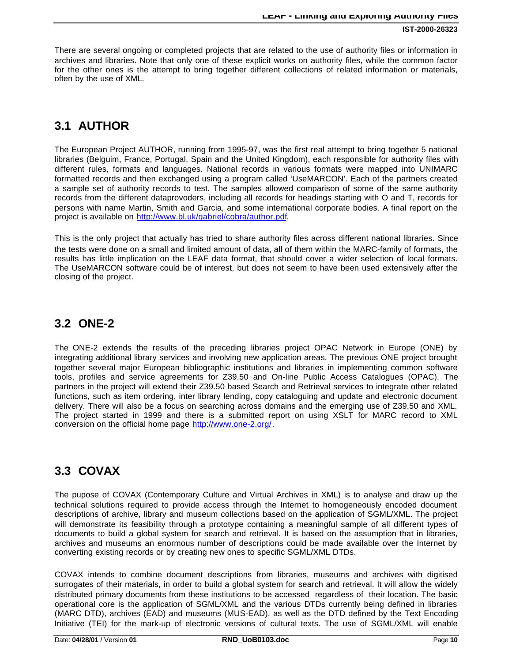There are several ongoing or completed projects that are related to the use of authority files or information in archives and libraries. Note that only one of these explicit works on authority files, while the common factor for the other ones is the attempt to bring together different collections of related information or materials, often by the use of XML.

### **3.1 AUTHOR**

The European Project AUTHOR, running from 1995-97, was the first real attempt to bring together 5 national libraries (Belguim, France, Portugal, Spain and the United Kingdom), each responsible for authority files with different rules, formats and languages. National records in various formats were mapped into UNIMARC formatted records and then exchanged using a program called 'UseMARCON'. Each of the partners created a sample set of authority records to test. The samples allowed comparison of some of the same authority records from the different dataprovoders, including all records for headings starting with O and T, records for persons with name Martin, Smith and Garcia, and some international corporate bodies. A final report on the project is available on http://www.bl.uk/gabriel/cobra/author.pdf.

This is the only project that actually has tried to share authority files across different national libraries. Since the tests were done on a small and limited amount of data, all of them within the MARC-family of formats, the results has little implication on the LEAF data format, that should cover a wider selection of local formats. The UseMARCON software could be of interest, but does not seem to have been used extensively after the closing of the project.

### **3.2 ONE-2**

The ONE-2 extends the results of the preceding libraries project OPAC Network in Europe (ONE) by integrating additional library services and involving new application areas. The previous ONE project brought together several major European bibliographic institutions and libraries in implementing common software tools, profiles and service agreements for Z39.50 and On-line Public Access Catalogues (OPAC). The partners in the project will extend their Z39.50 based Search and Retrieval services to integrate other related functions, such as item ordering, inter library lending, copy cataloguing and update and electronic document delivery. There will also be a focus on searching across domains and the emerging use of Z39.50 and XML. The project started in 1999 and there is a submitted report on using XSLT for MARC record to XML conversion on the official home page http://www.one-2.org/.

## **3.3 COVAX**

The pupose of COVAX (Contemporary Culture and Virtual Archives in XML) is to analyse and draw up the technical solutions required to provide access through the Internet to homogeneously encoded document descriptions of archive, library and museum collections based on the application of SGML/XML. The project will demonstrate its feasibility through a prototype containing a meaningful sample of all different types of documents to build a global system for search and retrieval. It is based on the assumption that in libraries, archives and museums an enormous number of descriptions could be made available over the Internet by converting existing records or by creating new ones to specific SGML/XML DTDs.

COVAX intends to combine document descriptions from libraries, museums and archives with digitised surrogates of their materials, in order to build a global system for search and retrieval. It will allow the widely distributed primary documents from these institutions to be accessed regardless of their location. The basic operational core is the application of SGML/XML and the various DTDs currently being defined in libraries (MARC DTD), archives (EAD) and museums (MUS-EAD), as well as the DTD defined by the Text Encoding Initiative (TEI) for the mark-up of electronic versions of cultural texts. The use of SGML/XML will enable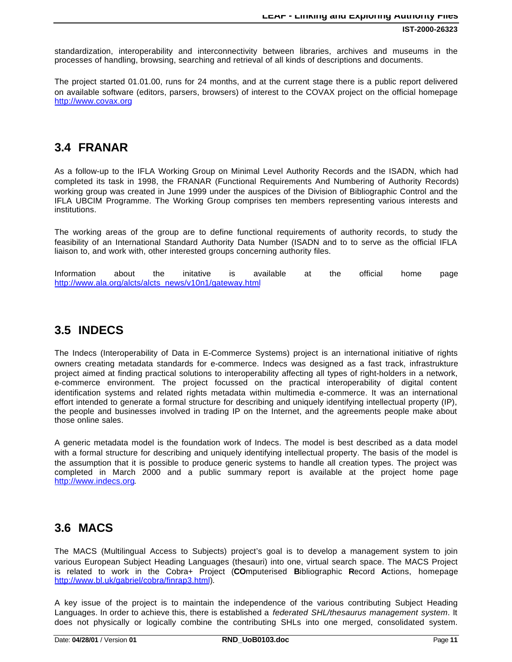standardization, interoperability and interconnectivity between libraries, archives and museums in the processes of handling, browsing, searching and retrieval of all kinds of descriptions and documents.

The project started 01.01.00, runs for 24 months, and at the current stage there is a public report delivered on available software (editors, parsers, browsers) of interest to the COVAX project on the official homepage http://www.covax.org

## **3.4 FRANAR**

As a follow-up to the IFLA Working Group on Minimal Level Authority Records and the ISADN, which had completed its task in 1998, the FRANAR (Functional Requirements And Numbering of Authority Records) working group was created in June 1999 under the auspices of the Division of Bibliographic Control and the IFLA UBCIM Programme. The Working Group comprises ten members representing various interests and institutions.

The working areas of the group are to define functional requirements of authority records, to study the feasibility of an International Standard Authority Data Number (ISADN and to to serve as the official IFLA liaison to, and work with, other interested groups concerning authority files.

Information about the initative is available at the official home page http://www.ala.org/alcts/alcts\_news/v10n1/gateway.html

## **3.5 INDECS**

The Indecs (Interoperability of Data in E-Commerce Systems) project is an international initiative of rights owners creating metadata standards for e-commerce. Indecs was designed as a fast track, infrastrukture project aimed at finding practical solutions to interoperability affecting all types of right-holders in a network, e-commerce environment. The project focussed on the practical interoperability of digital content identification systems and related rights metadata within multimedia e-commerce. It was an international effort intended to generate a formal structure for describing and uniquely identifying intellectual property (IP), the people and businesses involved in trading IP on the Internet, and the agreements people make about those online sales.

A generic metadata model is the foundation work of Indecs. The model is best described as a data model with a formal structure for describing and uniquely identifying intellectual property. The basis of the model is the assumption that it is possible to produce generic systems to handle all creation types. The project was completed in March 2000 and a public summary report is available at the project home page http://www.indecs.org.

## **3.6 MACS**

The MACS (Multilingual Access to Subjects) project's goal is to develop a management system to join various European Subject Heading Languages (thesauri) into one, virtual search space. The MACS Project is related to work in the Cobra+ Project (**CO**mputerised **B**ibliographic **R**ecord **A**ctions, homepage http://www.bl.uk/gabriel/cobra/finrap3.html).

A key issue of the project is to maintain the independence of the various contributing Subject Heading Languages. In order to achieve this, there is established a *federated SHL/thesaurus management system*. It does not physically or logically combine the contributing SHLs into one merged, consolidated system.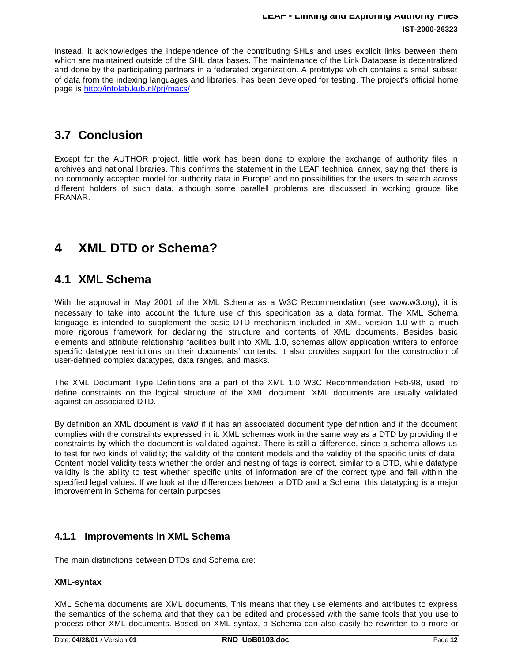Instead, it acknowledges the independence of the contributing SHLs and uses explicit links between them which are maintained outside of the SHL data bases. The maintenance of the Link Database is decentralized and done by the participating partners in a federated organization. A prototype which contains a small subset of data from the indexing languages and libraries, has been developed for testing. The project's official home page is http://infolab.kub.nl/prj/macs/

## **3.7 Conclusion**

Except for the AUTHOR project, little work has been done to explore the exchange of authority files in archives and national libraries. This confirms the statement in the LEAF technical annex, saying that 'there is no commonly accepted model for authority data in Europe' and no possibilities for the users to search across different holders of such data, although some parallell problems are discussed in working groups like FRANAR.

# **4 XML DTD or Schema?**

### **4.1 XML Schema**

With the approval in May 2001 of the XML Schema as a W3C Recommendation (see www.w3.org), it is necessary to take into account the future use of this specification as a data format. The XML Schema language is intended to supplement the basic DTD mechanism included in XML version 1.0 with a much more rigorous framework for declaring the structure and contents of XML documents. Besides basic elements and attribute relationship facilities built into XML 1.0, schemas allow application writers to enforce specific datatype restrictions on their documents' contents. It also provides support for the construction of user-defined complex datatypes, data ranges, and masks.

The XML Document Type Definitions are a part of the XML 1.0 W3C Recommendation Feb-98, used to define constraints on the logical structure of the XML document. XML documents are usually validated against an associated DTD.

By definition an XML document is *valid* if it has an associated document type definition and if the document complies with the constraints expressed in it. XML schemas work in the same way as a DTD by providing the constraints by which the document is validated against. There is still a difference, since a schema allows us to test for two kinds of validity; the validity of the content models and the validity of the specific units of data. Content model validity tests whether the order and nesting of tags is correct, similar to a DTD, while datatype validity is the ability to test whether specific units of information are of the correct type and fall within the specified legal values. If we look at the differences between a DTD and a Schema, this datatyping is a major improvement in Schema for certain purposes.

### **4.1.1 Improvements in XML Schema**

The main distinctions between DTDs and Schema are:

#### **XML-syntax**

XML Schema documents are XML documents. This means that they use elements and attributes to express the semantics of the schema and that they can be edited and processed with the same tools that you use to process other XML documents. Based on XML syntax, a Schema can also easily be rewritten to a more or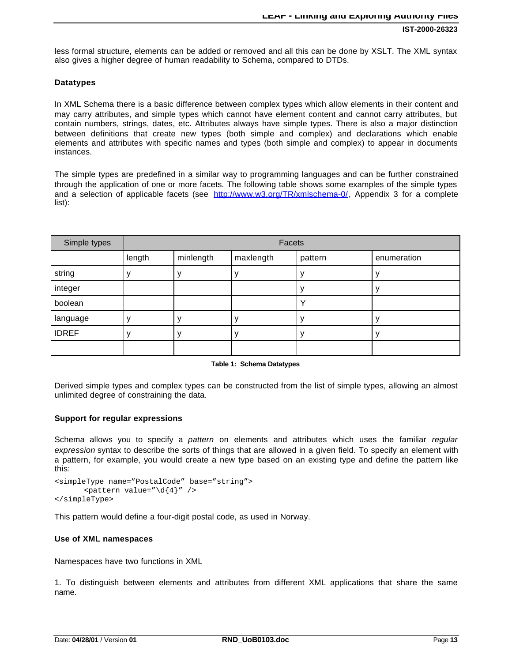less formal structure, elements can be added or removed and all this can be done by XSLT. The XML syntax also gives a higher degree of human readability to Schema, compared to DTDs.

#### **Datatypes**

In XML Schema there is a basic difference between complex types which allow elements in their content and may carry attributes, and simple types which cannot have element content and cannot carry attributes, but contain numbers, strings, dates, etc. Attributes always have simple types. There is also a major distinction between definitions that create new types (both simple and complex) and declarations which enable elements and attributes with specific names and types (both simple and complex) to appear in documents instances.

The simple types are predefined in a similar way to programming languages and can be further constrained through the application of one or more facets. The following table shows some examples of the simple types and a selection of applicable facets (see http://www.w3.org/TR/xmlschema-0/, Appendix 3 for a complete list):

| Simple types | Facets |           |           |         |             |
|--------------|--------|-----------|-----------|---------|-------------|
|              | length | minlength | maxlength | pattern | enumeration |
| string       |        |           |           |         |             |
| integer      |        |           |           |         |             |
| boolean      |        |           |           |         |             |
| language     |        |           |           |         |             |
| <b>IDREF</b> |        |           |           |         |             |
|              |        |           |           |         |             |

#### **Table 1: Schema Datatypes**

Derived simple types and complex types can be constructed from the list of simple types, allowing an almost unlimited degree of constraining the data.

#### **Support for regular expressions**

Schema allows you to specify a *pattern* on elements and attributes which uses the familiar *regular expression* syntax to describe the sorts of things that are allowed in a given field. To specify an element with a pattern, for example, you would create a new type based on an existing type and define the pattern like this:

```
<simpleType name="PostalCode" base="string">
       \epsilon <pattern value="\d{4}" />
</simpleType>
```
This pattern would define a four-digit postal code, as used in Norway.

#### **Use of XML namespaces**

Namespaces have two functions in XML

1. To distinguish between elements and attributes from different XML applications that share the same name.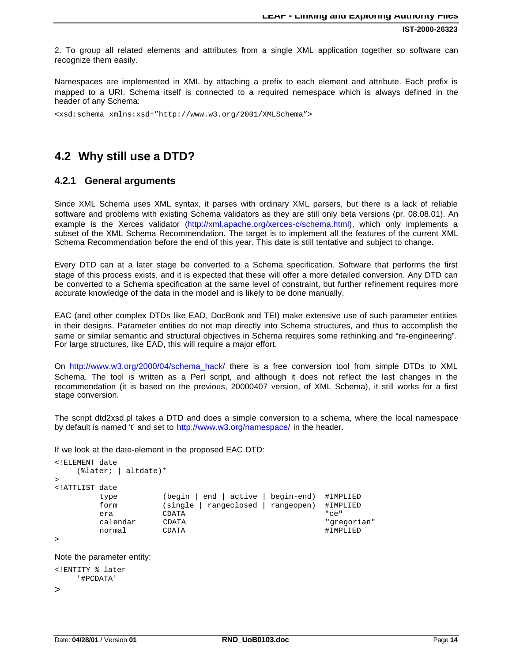**IST-2000-26323**

2. To group all related elements and attributes from a single XML application together so software can recognize them easily.

Namespaces are implemented in XML by attaching a prefix to each element and attribute. Each prefix is mapped to a URI. Schema itself is connected to a required nemespace which is always defined in the header of any Schema:

<xsd:schema xmlns:xsd="http://www.w3.org/2001/XMLSchema">

## **4.2 Why still use a DTD?**

### **4.2.1 General arguments**

Since XML Schema uses XML syntax, it parses with ordinary XML parsers, but there is a lack of reliable software and problems with existing Schema validators as they are still only beta versions (pr. 08.08.01). An example is the Xerces validator (http://xml.apache.org/xerces-c/schema.html), which only implements a subset of the XML Schema Recommendation. The target is to implement all the features of the current XML Schema Recommendation before the end of this year. This date is still tentative and subject to change.

Every DTD can at a later stage be converted to a Schema specification. Software that performs the first stage of this process exists, and it is expected that these will offer a more detailed conversion. Any DTD can be converted to a Schema specification at the same level of constraint, but further refinement requires more accurate knowledge of the data in the model and is likely to be done manually.

EAC (and other complex DTDs like EAD, DocBook and TEI) make extensive use of such parameter entities in their designs. Parameter entities do not map directly into Schema structures, and thus to accomplish the same or similar semantic and structural objectives in Schema requires some rethinking and "re-engineering". For large structures, like EAD, this will require a major effort.

On http://www.w3.org/2000/04/schema\_hack/ there is a free conversion tool from simple DTDs to XML Schema. The tool is written as a Perl script, and although it does not reflect the last changes in the recommendation (it is based on the previous, 20000407 version, of XML Schema), it still works for a first stage conversion.

The script dtd2xsd.pl takes a DTD and does a simple conversion to a schema, where the local namespace by default is named 't' and set to http://www.w3.org/namespace/ in the header.

If we look at the date-element in the proposed EAC DTD:

```
<!ELEMENT date
   (%later; | altdate)*
>
<!ATTLIST date
       type (begin | end | active | begin-end) #IMPLIED
       form (single | rangeclosed | rangeopen) #IMPLIED
 era CDATA "ce"
       calendar CDATA "gregorian"
 normal CDATA #IMPLIED
```
>

Note the parameter entity:

```
<!ENTITY % later
      '#PCDATA'
```

```
>
```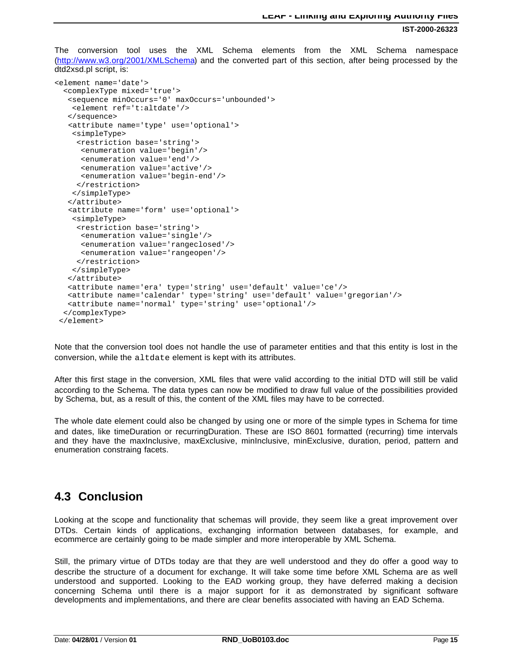**IST-2000-26323**

The conversion tool uses the XML Schema elements from the XML Schema namespace (http://www.w3.org/2001/XMLSchema) and the converted part of this section, after being processed by the dtd2xsd.pl script, is:

```
<element name='date'>
  <complexType mixed='true'>
   <sequence minOccurs='0' maxOccurs='unbounded'>
    <element ref='t:altdate'/>
    </sequence>
    <attribute name='type' use='optional'>
    <simpleType>
     <restriction base='string'>
       <enumeration value='begin'/>
       <enumeration value='end'/>
       <enumeration value='active'/>
       <enumeration value='begin-end'/>
      </restriction>
    </simpleType>
    </attribute>
    <attribute name='form' use='optional'>
    <simpleType>
      <restriction base='string'>
       <enumeration value='single'/>
       <enumeration value='rangeclosed'/>
      <enumeration value='rangeopen'/>
      </restriction>
    </simpleType>
    </attribute>
    <attribute name='era' type='string' use='default' value='ce'/>
    <attribute name='calendar' type='string' use='default' value='gregorian'/>
    <attribute name='normal' type='string' use='optional'/>
  </complexType>
  </element>
```
Note that the conversion tool does not handle the use of parameter entities and that this entity is lost in the conversion, while the altdate element is kept with its attributes.

After this first stage in the conversion, XML files that were valid according to the initial DTD will still be valid according to the Schema. The data types can now be modified to draw full value of the possibilities provided by Schema, but, as a result of this, the content of the XML files may have to be corrected.

The whole date element could also be changed by using one or more of the simple types in Schema for time and dates, like timeDuration or recurringDuration. These are ISO 8601 formatted (recurring) time intervals and they have the maxInclusive, maxExclusive, minInclusive, minExclusive, duration, period, pattern and enumeration constraing facets.

### **4.3 Conclusion**

Looking at the scope and functionality that schemas will provide, they seem like a great improvement over DTDs. Certain kinds of applications, exchanging information between databases, for example, and ecommerce are certainly going to be made simpler and more interoperable by XML Schema.

Still, the primary virtue of DTDs today are that they are well understood and they do offer a good way to describe the structure of a document for exchange. It will take some time before XML Schema are as well understood and supported. Looking to the EAD working group, they have deferred making a decision concerning Schema until there is a major support for it as demonstrated by significant software developments and implementations, and there are clear benefits associated with having an EAD Schema.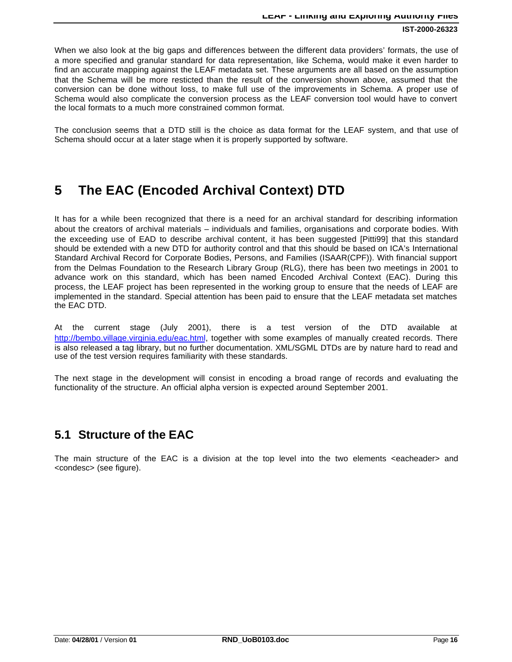When we also look at the big gaps and differences between the different data providers' formats, the use of a more specified and granular standard for data representation, like Schema, would make it even harder to find an accurate mapping against the LEAF metadata set. These arguments are all based on the assumption that the Schema will be more resticted than the result of the conversion shown above, assumed that the conversion can be done without loss, to make full use of the improvements in Schema. A proper use of Schema would also complicate the conversion process as the LEAF conversion tool would have to convert the local formats to a much more constrained common format.

The conclusion seems that a DTD still is the choice as data format for the LEAF system, and that use of Schema should occur at a later stage when it is properly supported by software.

# **5 The EAC (Encoded Archival Context) DTD**

It has for a while been recognized that there is a need for an archival standard for describing information about the creators of archival materials – individuals and families, organisations and corporate bodies. With the exceeding use of EAD to describe archival content, it has been suggested [Pitti99] that this standard should be extended with a new DTD for authority control and that this should be based on ICA's International Standard Archival Record for Corporate Bodies, Persons, and Families (ISAAR(CPF)). With financial support from the Delmas Foundation to the Research Library Group (RLG), there has been two meetings in 2001 to advance work on this standard, which has been named Encoded Archival Context (EAC). During this process, the LEAF project has been represented in the working group to ensure that the needs of LEAF are implemented in the standard. Special attention has been paid to ensure that the LEAF metadata set matches the EAC DTD.

At the current stage (July 2001), there is a test version of the DTD available at http://bembo.village.virginia.edu/eac.html, together with some examples of manually created records. There is also released a tag library, but no further documentation. XML/SGML DTDs are by nature hard to read and use of the test version requires familiarity with these standards.

The next stage in the development will consist in encoding a broad range of records and evaluating the functionality of the structure. An official alpha version is expected around September 2001.

### **5.1 Structure of the EAC**

The main structure of the EAC is a division at the top level into the two elements <eacheader> and <condesc> (see figure).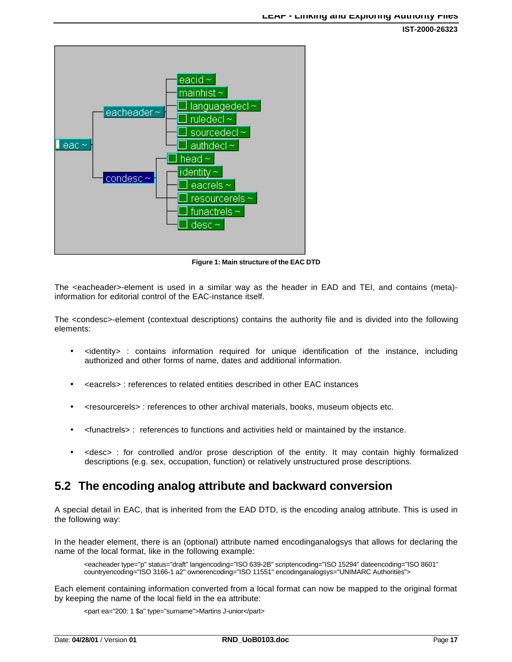

**Figure 1: Main structure of the EAC DTD**

The <eacheader>-element is used in a similar way as the header in EAD and TEI, and contains (meta) information for editorial control of the EAC-instance itself.

The <condesc>-element (contextual descriptions) contains the authority file and is divided into the following elements:

- <identity> : contains information required for unique identification of the instance, including authorized and other forms of name, dates and additional information.
- <eacrels> : references to related entities described in other EAC instances
- <resourcerels> : references to other archival materials, books, museum objects etc.
- <funactrels> : references to functions and activities held or maintained by the instance.
- <desc> : for controlled and/or prose description of the entity. It may contain highly formalized descriptions (e.g. sex, occupation, function) or relatively unstructured prose descriptions.

## **5.2 The encoding analog attribute and backward conversion**

A special detail in EAC, that is inherited from the EAD DTD, is the encoding analog attribute. This is used in the following way:

In the header element, there is an (optional) attribute named encodinganalogsys that allows for declaring the name of the local format, like in the following example:

<eacheader type="p" status="draft" langencoding="ISO 639-2B" scriptencoding="ISO 15294" dateencoding="ISO 8601" countryencoding="ISO 3166-1 a2" ownerencoding="ISO 11551" encodinganalogsys="UNIMARC Authorities">

Each element containing information converted from a local format can now be mapped to the original format by keeping the name of the local field in the ea attribute:

<part ea="200: 1 \$a" type="surname">Martins J-unior</part>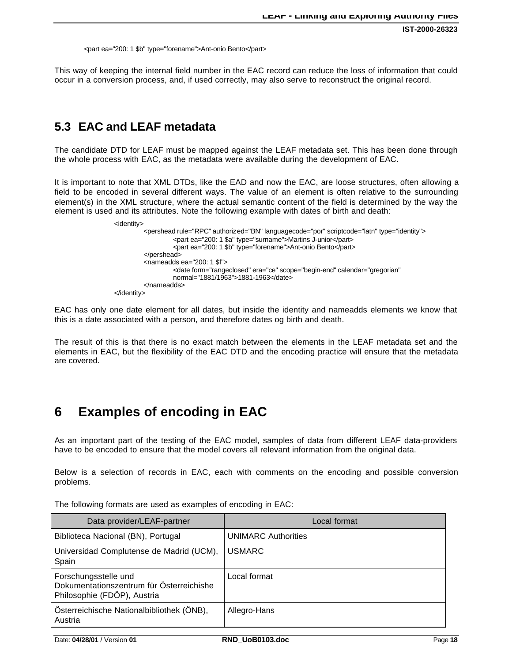<part ea="200: 1 \$b" type="forename">Ant-onio Bento</part>

This way of keeping the internal field number in the EAC record can reduce the loss of information that could occur in a conversion process, and, if used correctly, may also serve to reconstruct the original record.

# **5.3 EAC and LEAF metadata**

The candidate DTD for LEAF must be mapped against the LEAF metadata set. This has been done through the whole process with EAC, as the metadata were available during the development of EAC.

It is important to note that XML DTDs, like the EAD and now the EAC, are loose structures, often allowing a field to be encoded in several different ways. The value of an element is often relative to the surrounding element(s) in the XML structure, where the actual semantic content of the field is determined by the way the element is used and its attributes. Note the following example with dates of birth and death:

| <identity></identity> |                                                                                                                                                                                                                                       |
|-----------------------|---------------------------------------------------------------------------------------------------------------------------------------------------------------------------------------------------------------------------------------|
|                       | <pershead authorized="BN" languagecode="por" rule="RPC" scriptcode="latn" type="identity"><br/><part ea="200: 1 \$a" type="surname">Martins J-unior</part><br/><part ea="200: 1 \$b" type="forename">Ant-onio Bento</part></pershead> |
|                       | $<$ /pershead>                                                                                                                                                                                                                        |
|                       |                                                                                                                                                                                                                                       |
|                       | $\alpha$ <nameadds ea="200: 1 \$f"></nameadds>                                                                                                                                                                                        |
|                       | <date <br="" calendar="gregorian" era="ce" form="rangeclosed" scope="begin-end">normal="1881/1963"&gt;1881-1963</date>                                                                                                                |
|                       | $\alpha$ /nameadds>                                                                                                                                                                                                                   |
| $\alpha$ /identity>   |                                                                                                                                                                                                                                       |

EAC has only one date element for all dates, but inside the identity and nameadds elements we know that this is a date associated with a person, and therefore dates og birth and death.

The result of this is that there is no exact match between the elements in the LEAF metadata set and the elements in EAC, but the flexibility of the EAC DTD and the encoding practice will ensure that the metadata are covered.

# **6 Examples of encoding in EAC**

As an important part of the testing of the EAC model, samples of data from different LEAF data-providers have to be encoded to ensure that the model covers all relevant information from the original data.

Below is a selection of records in EAC, each with comments on the encoding and possible conversion problems.

The following formats are used as examples of encoding in EAC:

| Data provider/LEAF-partner                                                                      | Local format               |
|-------------------------------------------------------------------------------------------------|----------------------------|
| Biblioteca Nacional (BN), Portugal                                                              | <b>UNIMARC Authorities</b> |
| Universidad Complutense de Madrid (UCM),<br>Spain                                               | <b>USMARC</b>              |
| Forschungsstelle und<br>Dokumentationszentrum für Österreichishe<br>Philosophie (FDÖP), Austria | Local format               |
| Österreichische Nationalbibliothek (ÖNB),<br>Austria                                            | Allegro-Hans               |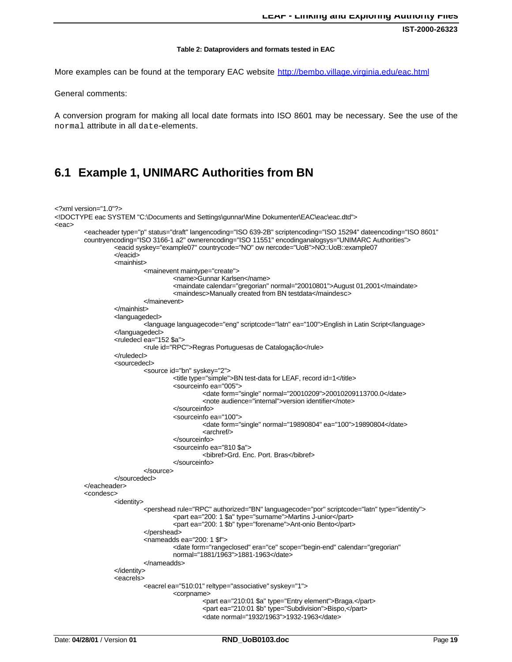#### **Table 2: Dataproviders and formats tested in EAC**

More examples can be found at the temporary EAC website http://bembo.village.virginia.edu/eac.html

General comments:

A conversion program for making all local date formats into ISO 8601 may be necessary. See the use of the normal attribute in all date-elements.

### **6.1 Example 1, UNIMARC Authorities from BN**

```
<?xml version="1.0"?>
<!DOCTYPE eac SYSTEM "C:\Documents and Settings\gunnar\Mine Dokumenter\EAC\eac\eac.dtd">
<eac>
         <eacheader type="p" status="draft" langencoding="ISO 639-2B" scriptencoding="ISO 15294" dateencoding="ISO 8601"
         countryencoding="ISO 3166-1 a2" ownerencoding="ISO 11551" encodinganalogsys="UNIMARC Authorities">
                  <eacid syskey="example07" countrycode="NO" ow nercode="UoB">NO::UoB::example07
                  </eacid>
                  <mainhist>
                            <mainevent maintype="create">
                                     <name>Gunnar Karlsen</name>
                                     <maindate calendar="gregorian" normal="20010801">August 01,2001</maindate>
                                     <maindesc>Manually created from BN testdata</maindesc>
                            </mainevent>
                  </mainhist>
                  <languagedecl>
                           <language languagecode="eng" scriptcode="latn" ea="100">English in Latin Script</language>
                  </languagedecl>
                  <ruledecl ea="152 $a">
                            <rule id="RPC">Regras Portuguesas de Catalogação</rule>
                  </ruledecl>
                   <sourcedecl>
                           <source id="bn" syskey="2">
                                     <title type="simple">BN test-data for LEAF, record id=1</title>
                                     <sourceinfo ea="005">
                                              <date form="single" normal="20010209">20010209113700.0</date>
                                              <note audience="internal">version identifier</note>
                                     </sourceinfo>
                                     <sourceinfo ea="100">
                                              <date form="single" normal="19890804" ea="100">19890804</date>
                                              <archref/>
                                     </sourceinfo>
                                     <sourceinfo ea="810 $a">
                                              <bibref>Grd. Enc. Port. Bras</bibref>
                                     </sourceinfo>
                           </source>
                   </sourcedecl>
         </eacheader>
         <condesc>
                  <identity>
                            <pershead rule="RPC" authorized="BN" languagecode="por" scriptcode="latn" type="identity">
                                     <part ea="200: 1 $a" type="surname">Martins J-unior</part>
                                     <part ea="200: 1 $b" type="forename">Ant-onio Bento</part>
                           </pershead>
                           <nameadds ea="200: 1 $f">
                                     <date form="rangeclosed" era="ce" scope="begin-end" calendar="gregorian"
                                     normal="1881/1963">1881-1963</date>
                           </nameadds>
                  </identity>
                   <eacrels>
                            <eacrel ea="510:01" reltype="associative" syskey="1">
                                     <corpname>
                                              <part ea="210:01 $a" type="Entry element">Braga.</part>
                                              <part ea="210:01 $b" type="Subdivision">Bispo,</part>
                                              <date normal="1932/1963">1932-1963</date>
```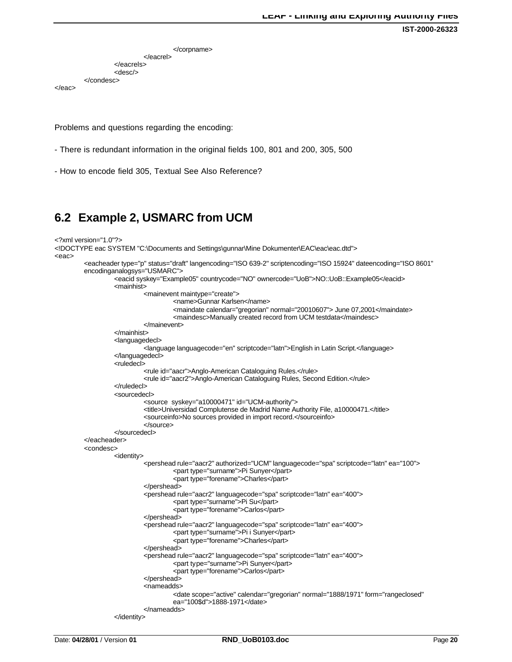```
</corpname>
                            </eacrel>
                   </eacrels>
                   <desc/>
         </condesc>
</eac>
```
Problems and questions regarding the encoding:

- There is redundant information in the original fields 100, 801 and 200, 305, 500
- How to encode field 305, Textual See Also Reference?

### **6.2 Example 2, USMARC from UCM**

```
<?xml version="1.0"?>
```

```
<!DOCTYPE eac SYSTEM "C:\Documents and Settings\gunnar\Mine Dokumenter\EAC\eac\eac.dtd">
<eac>
         <eacheader type="p" status="draft" langencoding="ISO 639-2" scriptencoding="ISO 15924" dateencoding="ISO 8601"
         encodinganalogsys="USMARC">
                  <eacid syskey="Example05" countrycode="NO" ownercode="UoB">NO::UoB::Example05</eacid>
                  <mainhist>
                           <mainevent maintype="create">
                                     <name>Gunnar Karlsen</name>
                                    <maindate calendar="gregorian" normal="20010607"> June 07,2001</maindate>
                                     <maindesc>Manually created record from UCM testdata</maindesc>
                           </mainevent>
                  </mainhist>
                  <languagedecl>
                           <language languagecode="en" scriptcode="latn">English in Latin Script.</language>
                  </languagedecl>
                  <ruledecl>
                           <rule id="aacr">Anglo-American Cataloguing Rules.</rule>
                           <rule id="aacr2">Anglo-American Cataloguing Rules, Second Edition.</rule>
                  </ruledecl>
                  <sourcedecl>
                           <source syskey="a10000471" id="UCM-authority">
                           <title>Universidad Complutense de Madrid Name Authority File, a10000471.</title>
                           <sourceinfo>No sources provided in import record.</sourceinfo>
                           </source>
                  </sourcedecl>
         </eacheader>
         <condesc>
                  <identity>
                           <pershead rule="aacr2" authorized="UCM" languagecode="spa" scriptcode="latn" ea="100">
                                     <part type="surname">Pi Sunyer</part>
                                     <part type="forename">Charles</part>
                           </pershead>
                           <pershead rule="aacr2" languagecode="spa" scriptcode="latn" ea="400">
                                     <part type="surname">Pi Su</part>
                                     <part type="forename">Carlos</part>
                           </pershead>
                           <pershead rule="aacr2" languagecode="spa" scriptcode="latn" ea="400">
                                     <part type="surname">Pi i Sunyer</part>
                                    <part type="forename">Charles</part>
                           </pershead>
                           <pershead rule="aacr2" languagecode="spa" scriptcode="latn" ea="400">
                                     <part type="surname">Pi Sunyer</part>
                                     <part type="forename">Carlos</part>
                           </pershead>
                           <nameadds>
                                    <date scope="active" calendar="gregorian" normal="1888/1971" form="rangeclosed"
                                    ea="100$d">1888-1971</date>
                           </nameadds>
                  </identity>
```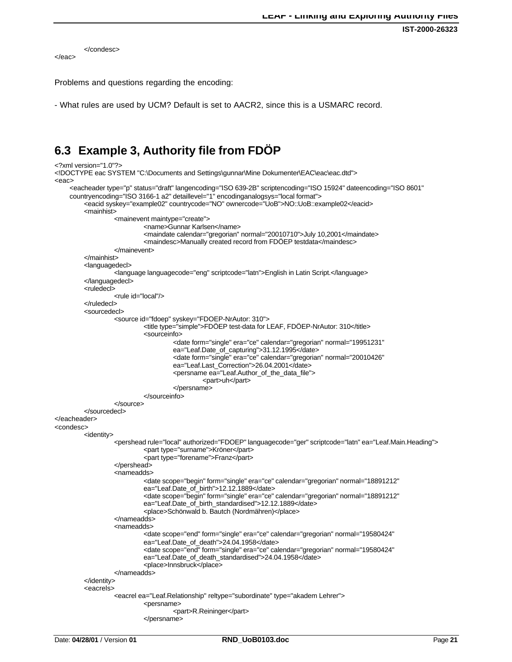**IST-2000-26323**

```
</condesc>
</eac>
```
Problems and questions regarding the encoding:

- What rules are used by UCM? Default is set to AACR2, since this is a USMARC record.

## **6.3 Example 3, Authority file from FDÖP**

```
<?xml version="1.0"?>
<!DOCTYPE eac SYSTEM "C:\Documents and Settings\gunnar\Mine Dokumenter\EAC\eac\eac.dtd">
<eac>
    <eacheader type="p" status="draft" langencoding="ISO 639-2B" scriptencoding="ISO 15924" dateencoding="ISO 8601"
    countryencoding="ISO 3166-1 a2" detaillevel="1" encodinganalogsys="local format">
         <eacid syskey="example02" countrycode="NO" ownercode="UoB">NO::UoB::example02</eacid>
         <mainhist>
                  <mainevent maintype="create">
                           <name>Gunnar Karlsen</name>
                           <maindate calendar="gregorian" normal="20010710">July 10,2001</maindate>
                           <maindesc>Manually created record from FDÖEP testdata</maindesc>
                  </mainevent>
         </mainhist>
         <languagedecl>
                  <language languagecode="eng" scriptcode="latn">English in Latin Script.</language>
         </languagedecl>
         <ruledecl>
                  <rule id="local"/>
         </ruledecl>
         <sourcedecl>
                  <source id="fdoep" syskey="FDOEP-NrAutor: 310">
                           <title type="simple">FDÖEP test-data for LEAF, FDÖEP-NrAutor: 310</title>
                           <sourceinfo>
                                     <date form="single" era="ce" calendar="gregorian" normal="19951231"
                                     ea="Leaf.Date_of_capturing">31.12.1995</date>
                                     <date form="single" era="ce" calendar="gregorian" normal="20010426"
                                     ea="Leaf.Last_Correction">26.04.2001</date>
                                     <persname ea="Leaf.Author_of_the_data_file">
                                              <part>uh</part>
                                     </persname>
                            </sourceinfo>
                  </source>
         </sourcedecl>
</eacheader>
<condesc>
         <identity>
                  <pershead rule="local" authorized="FDOEP" languagecode="ger" scriptcode="latn" ea="Leaf.Main.Heading">
                           <part type="surname">Kröner</part>
                            <part type="forename">Franz</part>
                  </pershead>
                  <nameadds>
                            <date scope="begin" form="single" era="ce" calendar="gregorian" normal="18891212"
                           ea="Leaf.Date_of_birth">12.12.1889</date>
                            <date scope="begin" form="single" era="ce" calendar="gregorian" normal="18891212"
                           ea="Leaf.Date_of_birth_standardised">12.12.1889</date>
                            <place>Schönwald b. Bautch (Nordmähren)</place>
                  </nameadds>
                  <nameadds>
                           <date scope="end" form="single" era="ce" calendar="gregorian" normal="19580424"
                           ea="Leaf.Date_of_death">24.04.1958</date>
                           <date scope="end" form="single" era="ce" calendar="gregorian" normal="19580424"
                           ea="Leaf.Date_of_death_standardised">24.04.1958</date>
                           <place>Innsbruck</place>
                  </nameadds>
         </identity>
         <eacrels>
                  <eacrel ea="Leaf.Relationship" reltype="subordinate" type="akadem Lehrer">
                            <persname>
                                     <part>R.Reininger</part>
                            </persname>
```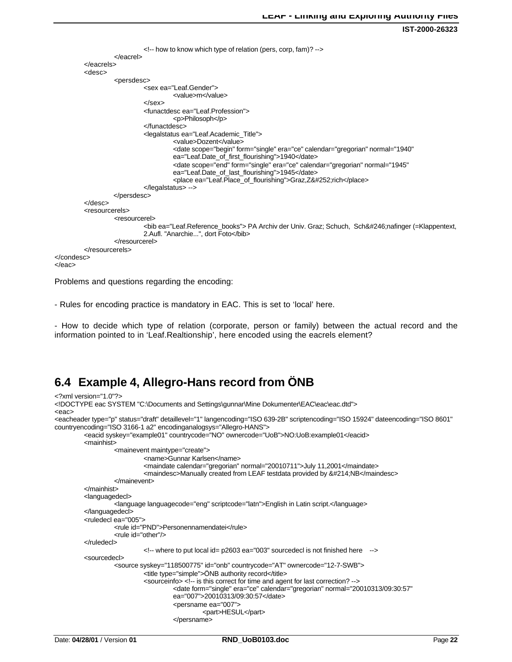**IST-2000-26323**

```
<!-- how to know which type of relation (pers, corp, fam)? -->
                   </eacrel>
         </eacrels>
         <desc>
                   <persdesc>
                            <sex ea="Leaf.Gender">
                                      <value>m</value>
                            </sex><funactdesc ea="Leaf.Profession">
                                      <p>Philosoph</p>
                            </funactdesc>
                            <legalstatus ea="Leaf.Academic_Title">
                                      <value>Dozent</value>
                                      <date scope="begin" form="single" era="ce" calendar="gregorian" normal="1940"
                                      ea="Leaf.Date_of_first_flourishing">1940</date>
                                      <date scope="end" form="single" era="ce" calendar="gregorian" normal="1945"
                                      ea="Leaf.Date_of_last_flourishing">1945</date>
                                      <place ea="Leaf.Place_of_flourishing">Graz,Z&#252;rich</place>
                            </legalstatus> -->
                   </persdesc>
         </desc>
         <resourcerels>
                   <resourcerel>
                            <bib ea="Leaf.Reference_books"> PA Archiv der Univ. Graz; Schuch, Sch&#246;nafinger (=Klappentext,
                            2.Aufl. "Anarchie...", dort Foto</bib>
                   </resourcerel>
         </resourcerels>
</condesc>
</eac>
```
Problems and questions regarding the encoding:

- Rules for encoding practice is mandatory in EAC. This is set to 'local' here.

- How to decide which type of relation (corporate, person or family) between the actual record and the information pointed to in 'Leaf.Realtionship', here encoded using the eacrels element?

### **6.4 Example 4, Allegro-Hans record from ÖNB**

```
<?xml version="1.0"?>
<!DOCTYPE eac SYSTEM "C:\Documents and Settings\gunnar\Mine Dokumenter\EAC\eac\eac.dtd">
<eac>
<eacheader type="p" status="draft" detaillevel="1" langencoding="ISO 639-2B" scriptencoding="ISO 15924" dateencoding="ISO 8601"
countryencoding="ISO 3166-1 a2" encodinganalogsys="Allegro-HANS">
         <eacid syskey="example01" countrycode="NO" ownercode="UoB">NO:UoB:example01</eacid>
         <mainhist>
                  <mainevent maintype="create">
                           <name>Gunnar Karlsen</name>
                           <maindate calendar="gregorian" normal="20010711">July 11,2001</maindate>
                           <maindesc>Manually created from LEAF testdata provided by &#214;NB</maindesc>
                  </mainevent>
         </mainhist>
         <languagedecl>
                  <language languagecode="eng" scriptcode="latn">English in Latin script.</language>
         </languagedecl>
         <ruledecl ea="005">
                  <rule id="PND">Personennamendatei</rule>
                  <rule id="other"/>
         </ruledecl>
                           <!-- where to put local id= p2603 ea="003" sourcedecl is not finished here -->
         <sourcedecl>
                  <source syskey="118500775" id="onb" countrycode="AT" ownercode="12-7-SWB">
                            <title type="simple">ÖNB authority record</title>
                            <sourceinfo> <!-- is this correct for time and agent for last correction? -->
                                     <date form="single" era="ce" calendar="gregorian" normal="20010313/09:30:57"
                                     ea="007">20010313/09:30:57</date>
                                     <persname ea="007">
                                              <part>HESUL</part>
                                     </persname>
```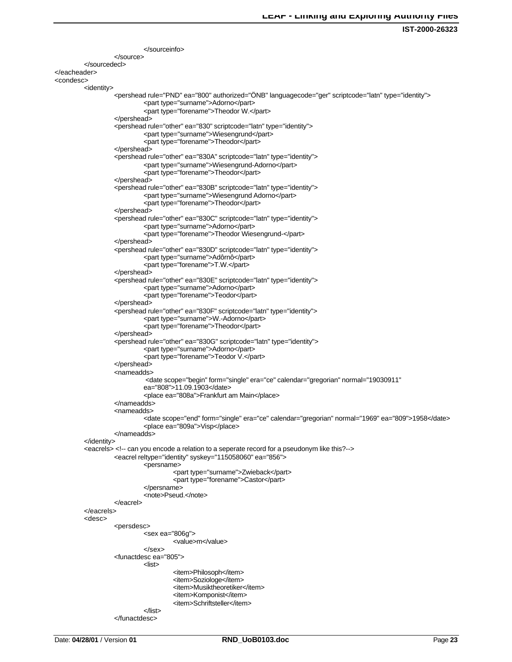```
</sourceinfo>
                   </source>
         </sourcedecl>
</eacheader>
<condesc>
         <identity>
                   <pershead rule="PND" ea="800" authorized="ÖNB" languagecode="ger" scriptcode="latn" type="identity">
                            <part type="surname">Adorno</part>
                            <part type="forename">Theodor W.</part>
                   </pershead>
                   <pershead rule="other" ea="830" scriptcode="latn" type="identity">
                            <part type="surname">Wiesengrund</part>
                            <part type="forename">Theodor</part>
                   </pershead>
                   <pershead rule="other" ea="830A" scriptcode="latn" type="identity">
                            <part type="surname">Wiesengrund-Adorno</part>
                            <part type="forename">Theodor</part>
                   </pershead>
                   <pershead rule="other" ea="830B" scriptcode="latn" type="identity">
                            <part type="surname">Wiesengrund Adorno</part>
                            <part type="forename">Theodor</part>
                   </pershead>
                   <pershead rule="other" ea="830C" scriptcode="latn" type="identity">
                            <part type="surname">Adorno</part>
                            <part type="forename">Theodor Wiesengrund-</part>
                   </pershead>
                   <pershead rule="other" ea="830D" scriptcode="latn" type="identity">
                            <part type="surname">Adôrnô</part>
                            <part type="forename">T.W.</part>
                   </pershead>
                   <pershead rule="other" ea="830E" scriptcode="latn" type="identity">
                            <part type="surname">Adorno</part>
                            <part type="forename">Teodor</part>
                   </pershead>
                   <pershead rule="other" ea="830F" scriptcode="latn" type="identity">
                            <part type="surname">W.-Adorno</part>
                            <part type="forename">Theodor</part>
                   </pershead>
                   <pershead rule="other" ea="830G" scriptcode="latn" type="identity">
                            <part type="surname">Adorno</part>
                            <part type="forename">Teodor V.</part>
                   </pershead>
                   <nameadds>
                            <date scope="begin" form="single" era="ce" calendar="gregorian" normal="19030911"
                            ea="808">11.09.1903</date>
                            <place ea="808a">Frankfurt am Main</place>
                   </nameadds>
                   <nameadds>
                            <date scope="end" form="single" era="ce" calendar="gregorian" normal="1969" ea="809">1958</date>
                            <place ea="809a">Visp</place>
                   </nameadds>
         </identity>
         <eacrels> <!-- can you encode a relation to a seperate record for a pseudonym like this?-->
                   <eacrel reltype="identity" syskey="115058060" ea="856">
                            <persname>
                                     <part type="surname">Zwieback</part>
                                     <part type="forename">Castor</part>
                            </persname>
                            <note>Pseud.</note>
                   </eacrel>
         </eacrels>
         <desc>
                   <persdesc>
                            <sex ea="806g">
                                     <value>m</value>
                            </sex>
                   <funactdesc ea="805">
                            <list>
                                      <item>Philosoph</item>
                                      <item>Soziologe</item>
                                      <item>Musiktheoretiker</item>
                                     <item>Komponist</item>
                                     <item>Schriftsteller</item>
                            </list>
                   </funactdesc>
```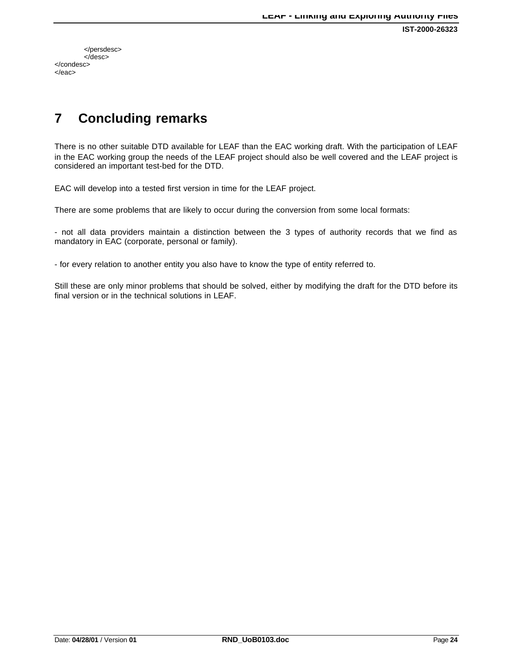**IST-2000-26323**

</persdesc> </desc> </condesc> </eac>

# **7 Concluding remarks**

There is no other suitable DTD available for LEAF than the EAC working draft. With the participation of LEAF in the EAC working group the needs of the LEAF project should also be well covered and the LEAF project is considered an important test-bed for the DTD.

EAC will develop into a tested first version in time for the LEAF project.

There are some problems that are likely to occur during the conversion from some local formats:

- not all data providers maintain a distinction between the 3 types of authority records that we find as mandatory in EAC (corporate, personal or family).

- for every relation to another entity you also have to know the type of entity referred to.

Still these are only minor problems that should be solved, either by modifying the draft for the DTD before its final version or in the technical solutions in LEAF.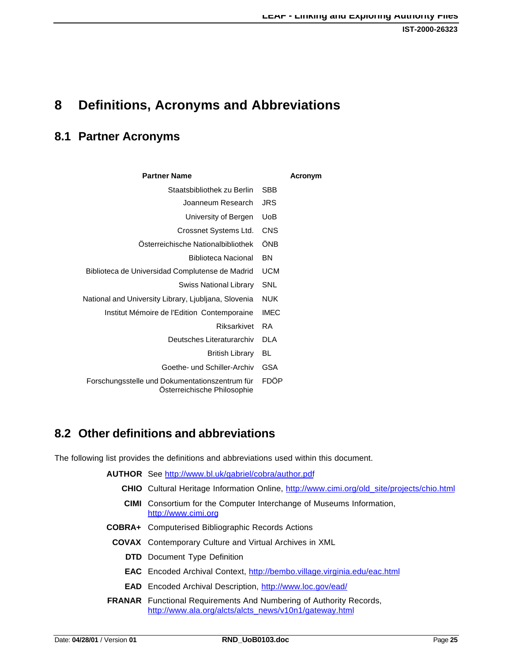# **8 Definitions, Acronyms and Abbreviations**

# **8.1 Partner Acronyms**

| <b>Partner Name</b>                                                           |             | Acronym |
|-------------------------------------------------------------------------------|-------------|---------|
| Staatsbibliothek zu Berlin                                                    | SBB         |         |
| Joanneum Research                                                             | JRS         |         |
| University of Bergen                                                          | UoB         |         |
| Crossnet Systems Ltd.                                                         | <b>CNS</b>  |         |
| Osterreichische Nationalbibliothek                                            | ÖNB         |         |
| <b>Biblioteca Nacional</b>                                                    | <b>BN</b>   |         |
| Biblioteca de Universidad Complutense de Madrid                               | <b>UCM</b>  |         |
| <b>Swiss National Library</b>                                                 | SNL         |         |
| National and University Library, Ljubljana, Slovenia                          | NUK         |         |
| Institut Mémoire de l'Edition Contemporaine                                   | <b>IMEC</b> |         |
| Riksarkivet                                                                   | <b>RA</b>   |         |
| Deutsches Literaturarchiv                                                     | DLA         |         |
| <b>British Library</b>                                                        | BL          |         |
| Goethe- und Schiller-Archiv                                                   | <b>GSA</b>  |         |
| Forschungsstelle und Dokumentationszentrum für<br>Osterreichische Philosophie | FDÖP        |         |

# **8.2 Other definitions and abbreviations**

The following list provides the definitions and abbreviations used within this document.

|      | <b>AUTHOR</b> See http://www.bl.uk/gabriel/cobra/author.pdf                                                                         |
|------|-------------------------------------------------------------------------------------------------------------------------------------|
|      | <b>CHIO</b> Cultural Heritage Information Online, http://www.cimi.org/old site/projects/chio.html                                   |
| CIMI | Consortium for the Computer Interchange of Museums Information,<br>http://www.cimi.org                                              |
|      | <b>COBRA+</b> Computerised Bibliographic Records Actions                                                                            |
|      | <b>COVAX</b> Contemporary Culture and Virtual Archives in XML                                                                       |
|      | <b>DTD</b> Document Type Definition                                                                                                 |
|      | <b>EAC</b> Encoded Archival Context, http://bembo.village.virginia.edu/eac.html                                                     |
|      | <b>EAD</b> Encoded Archival Description, http://www.loc.gov/ead/                                                                    |
|      | <b>FRANAR</b> Functional Requirements And Numbering of Authority Records,<br>http://www.ala.org/alcts/alcts_news/v10n1/gateway.html |